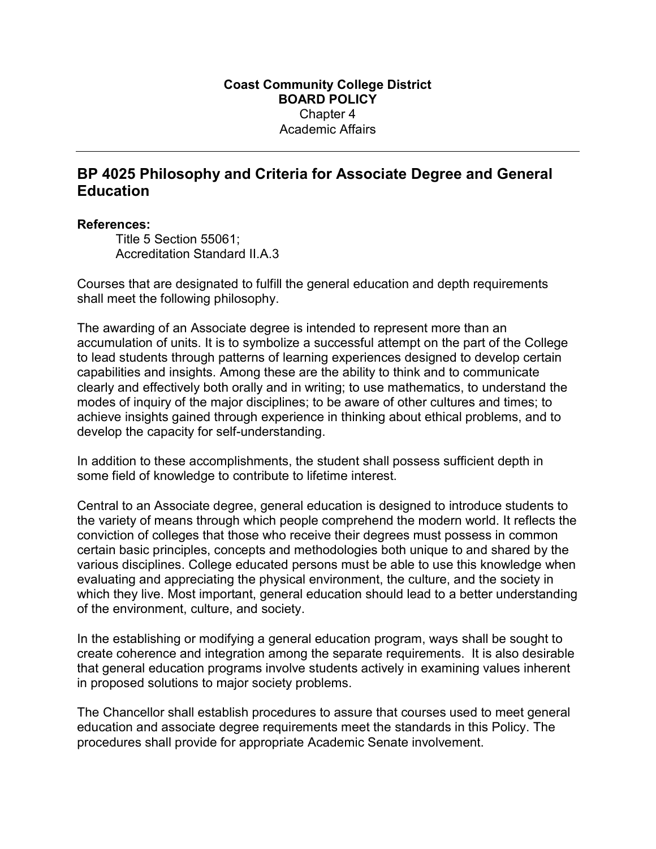## BP 4025 Philosophy and Criteria for Associate Degree and General **Education**

## References:

Title 5 Section 55061; Accreditation Standard II.A.3

Courses that are designated to fulfill the general education and depth requirements shall meet the following philosophy.

The awarding of an Associate degree is intended to represent more than an accumulation of units. It is to symbolize a successful attempt on the part of the College to lead students through patterns of learning experiences designed to develop certain capabilities and insights. Among these are the ability to think and to communicate clearly and effectively both orally and in writing; to use mathematics, to understand the modes of inquiry of the major disciplines; to be aware of other cultures and times; to achieve insights gained through experience in thinking about ethical problems, and to develop the capacity for self-understanding.

In addition to these accomplishments, the student shall possess sufficient depth in some field of knowledge to contribute to lifetime interest.

Central to an Associate degree, general education is designed to introduce students to the variety of means through which people comprehend the modern world. It reflects the conviction of colleges that those who receive their degrees must possess in common certain basic principles, concepts and methodologies both unique to and shared by the various disciplines. College educated persons must be able to use this knowledge when evaluating and appreciating the physical environment, the culture, and the society in which they live. Most important, general education should lead to a better understanding of the environment, culture, and society.

In the establishing or modifying a general education program, ways shall be sought to create coherence and integration among the separate requirements. It is also desirable that general education programs involve students actively in examining values inherent in proposed solutions to major society problems.

The Chancellor shall establish procedures to assure that courses used to meet general education and associate degree requirements meet the standards in this Policy. The procedures shall provide for appropriate Academic Senate involvement.